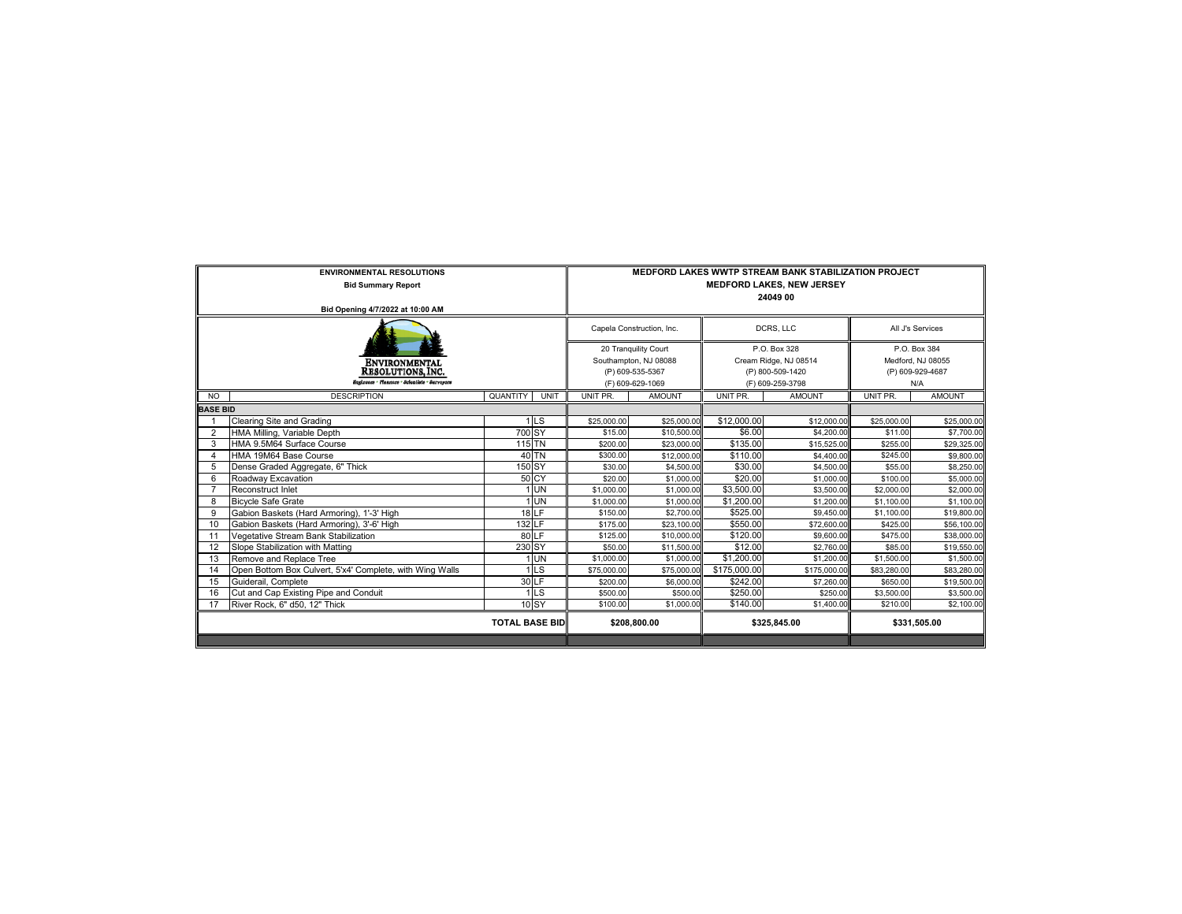|                 | <b>ENVIRONMENTAL RESOLUTIONS</b><br><b>Bid Summary Report</b> | MEDFORD LAKES WWTP STREAM BANK STABILIZATION PROJECT<br><b>MEDFORD LAKES, NEW JERSEY</b><br>24049 00 |                  |                                                           |                  |                                                       |              |               |
|-----------------|---------------------------------------------------------------|------------------------------------------------------------------------------------------------------|------------------|-----------------------------------------------------------|------------------|-------------------------------------------------------|--------------|---------------|
|                 | Bid Opening 4/7/2022 at 10:00 AM                              |                                                                                                      |                  |                                                           |                  |                                                       |              |               |
|                 |                                                               | Capela Construction, Inc.<br>20 Tranquility Court<br>Southampton, NJ 08088<br>(P) 609-535-5367       |                  |                                                           | DCRS. LLC        | All J's Services                                      |              |               |
|                 |                                                               |                                                                                                      |                  | P.O. Box 328<br>Cream Ridge, NJ 08514<br>(P) 800-509-1420 |                  | P.O. Box 384<br>Medford, NJ 08055<br>(P) 609-929-4687 |              |               |
|                 | <b>ENVIRONMENTAL</b>                                          |                                                                                                      |                  |                                                           |                  |                                                       |              |               |
|                 | <b>RESOLUTIONS, INC.</b>                                      |                                                                                                      |                  |                                                           |                  |                                                       |              |               |
|                 | Inginoces · Piannees · Scientists · Surveyors                 |                                                                                                      | (F) 609-629-1069 |                                                           | (F) 609-259-3798 |                                                       | N/A          |               |
| <b>NO</b>       | <b>DESCRIPTION</b>                                            | QUANTITY<br>UNIT                                                                                     | UNIT PR.         | <b>AMOUNT</b>                                             | UNIT PR.         | <b>AMOUNT</b>                                         | UNIT PR.     | <b>AMOUNT</b> |
| <b>BASE BID</b> |                                                               |                                                                                                      |                  |                                                           |                  |                                                       |              |               |
|                 | <b>Clearing Site and Grading</b>                              | 1 <sub>LS</sub>                                                                                      | \$25,000.00      | \$25,000.00                                               | \$12,000.00      | \$12,000.00                                           | \$25,000.00  | \$25,000.00   |
| $\overline{2}$  | HMA Milling, Variable Depth                                   | 700 SY                                                                                               | \$15.00          | \$10,500.00                                               | \$6.00           | \$4,200.00                                            | \$11.00      | \$7,700.00    |
| -3              | HMA 9.5M64 Surface Course                                     | $115$ TN                                                                                             | \$200.00         | \$23,000.00                                               | \$135.00         | \$15,525.00                                           | \$255.00     | \$29,325.00   |
| $\overline{4}$  | HMA 19M64 Base Course                                         | 40 TN                                                                                                | \$300.00         | \$12,000.00                                               | \$110.00         | \$4,400.00                                            | \$245.00     | \$9,800.00    |
| 5               | Dense Graded Aggregate, 6" Thick                              | $150$ SY                                                                                             | \$30.00          | \$4,500.00                                                | \$30.00          | \$4,500.00                                            | \$55.00      | \$8,250.00    |
| 6               | Roadway Excavation                                            | 50 CY                                                                                                | \$20.00          | \$1,000.00                                                | \$20.00          | \$1,000.00                                            | \$100.00     | \$5,000.00    |
| $\overline{7}$  | Reconstruct Inlet                                             | 1 UN                                                                                                 | \$1,000.00       | \$1,000.00                                                | \$3,500.00       | \$3,500.00                                            | \$2,000.00   | \$2,000.00    |
| 8               | <b>Bicycle Safe Grate</b>                                     | 1 UN                                                                                                 | \$1,000.00       | \$1,000.00                                                | \$1,200.00       | \$1,200.00                                            | \$1,100.00   | \$1,100.00    |
| 9               | Gabion Baskets (Hard Armoring), 1'-3' High                    | $18$ <sub>LF</sub>                                                                                   | \$150.00         | \$2,700.00                                                | \$525.00         | \$9,450.00                                            | \$1,100.00   | \$19,800.00   |
| 10              | Gabion Baskets (Hard Armoring), 3'-6' High                    | 132 LF                                                                                               | \$175.00         | \$23,100.00                                               | \$550.00         | \$72,600.00                                           | \$425.00     | \$56,100.00   |
| 11              | Vegetative Stream Bank Stabilization                          | 80 LF                                                                                                | \$125.00         | \$10,000.00                                               | \$120.00         | \$9,600.00                                            | \$475.00     | \$38,000.00   |
| 12              | Slope Stabilization with Matting                              | 230 SY                                                                                               | \$50.00          | \$11,500.00                                               | \$12.00          | \$2,760.00                                            | \$85.00      | \$19,550.00   |
| 13              | Remove and Replace Tree                                       | <b>UN</b>                                                                                            | \$1,000.00       | \$1,000.00                                                | \$1,200.00       | \$1,200.00                                            | \$1,500.00   | \$1,500.00    |
| 14              | Open Bottom Box Culvert, 5'x4' Complete, with Wing Walls      | 1 <sub>LS</sub>                                                                                      | \$75,000.00      | \$75,000.00                                               | \$175,000.00     | \$175,000.00                                          | \$83,280.00  | \$83,280.00   |
| 15              | Guiderail, Complete                                           | 30 LF                                                                                                | \$200.00         | \$6,000.00                                                | \$242.00         | \$7,260.00                                            | \$650.00     | \$19,500.00   |
| 16              | Cut and Cap Existing Pipe and Conduit                         | 1 <sub>LS</sub>                                                                                      | \$500.00         | \$500.00                                                  | \$250.00         | \$250.00                                              | \$3,500.00   | \$3,500.00    |
| 17              | River Rock, 6" d50, 12" Thick                                 | 10 SY                                                                                                | \$100.00         | \$1,000.00                                                | \$140.00         | \$1,400.00                                            | \$210.00     | \$2,100.00    |
|                 |                                                               | <b>TOTAL BASE BID</b>                                                                                | \$208,800.00     |                                                           | \$325,845.00     |                                                       | \$331,505.00 |               |
|                 |                                                               |                                                                                                      |                  |                                                           |                  |                                                       |              |               |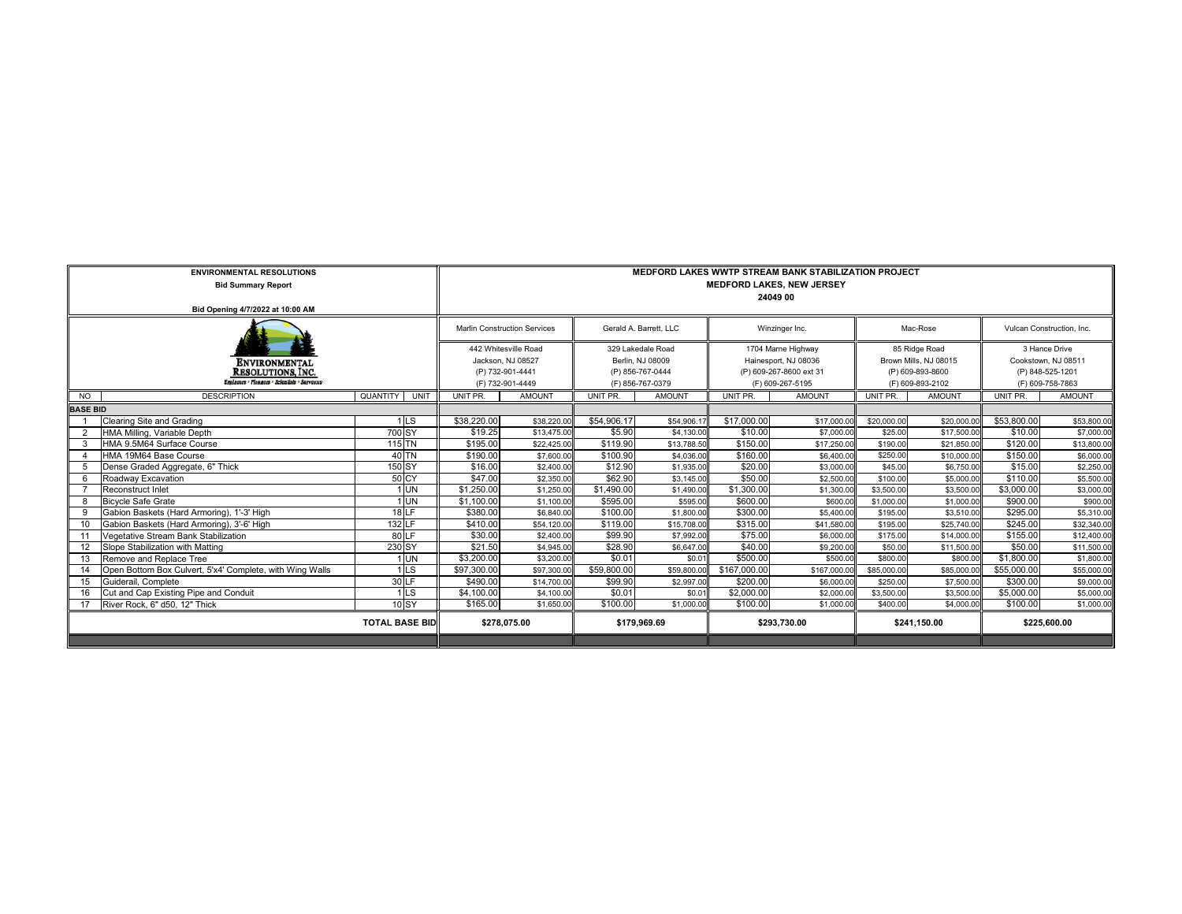|                                              | <b>ENVIRONMENTAL RESOLUTIONS</b><br><b>Bid Summary Report</b>                    | <b>MEDFORD LAKES WWTP STREAM BANK STABILIZATION PROJECT</b><br><b>MEDFORD LAKES, NEW JERSEY</b><br>24049 00 |                                           |                        |                                       |                |                                             |               |                                        |                           |                                      |               |
|----------------------------------------------|----------------------------------------------------------------------------------|-------------------------------------------------------------------------------------------------------------|-------------------------------------------|------------------------|---------------------------------------|----------------|---------------------------------------------|---------------|----------------------------------------|---------------------------|--------------------------------------|---------------|
| Bid Opening 4/7/2022 at 10:00 AM             |                                                                                  |                                                                                                             |                                           |                        |                                       |                |                                             |               |                                        |                           |                                      |               |
|                                              |                                                                                  | <b>Marlin Construction Services</b>                                                                         |                                           | Gerald A. Barrett, LLC |                                       | Winzinger Inc. |                                             | Mac-Rose      |                                        | Vulcan Construction, Inc. |                                      |               |
|                                              | ENVIRONMENTAL                                                                    |                                                                                                             | 442 Whitesville Road<br>Jackson, NJ 08527 |                        | 329 Lakedale Road<br>Berlin, NJ 08009 |                | 1704 Marne Highway<br>Hainesport, NJ 08036  |               | 85 Ridge Road<br>Brown Mills, NJ 08015 |                           | 3 Hance Drive<br>Cookstown, NJ 08511 |               |
|                                              | <b>RESOLUTIONS, INC.</b><br><b>Unglassen - Planasza - Scientista - Sarvayozo</b> |                                                                                                             | (P) 732-901-4441<br>(F) 732-901-4449      |                        | (P) 856-767-0444<br>(F) 856-767-0379  |                | (P) 609-267-8600 ext 31<br>(F) 609-267-5195 |               | (P) 609-893-8600<br>(F) 609-893-2102   |                           | (P) 848-525-1201<br>(F) 609-758-7863 |               |
| $\overline{N}$                               | <b>DESCRIPTION</b>                                                               | <b>QUANTITY</b><br>UNIT                                                                                     | UNIT PR.                                  | <b>AMOUNT</b>          | UNIT PR.                              | <b>AMOUNT</b>  | UNIT PR.                                    | <b>AMOUNT</b> | UNIT PR.                               | <b>AMOUNT</b>             | UNIT PR.                             | <b>AMOUNT</b> |
| <b>BASE BID</b>                              |                                                                                  |                                                                                                             |                                           |                        |                                       |                |                                             |               |                                        |                           |                                      |               |
|                                              | Clearing Site and Grading                                                        | 1 <sub>LS</sub>                                                                                             | \$38,220.00                               | \$38,220.0             | \$54,906.17                           | \$54,906.      | \$17,000.00                                 | \$17,000.0    | \$20,000.00                            | \$20,000.0                | \$53,800.00                          | \$53,800.00   |
| $\overline{2}$                               | HMA Milling, Variable Depth                                                      | 700 SY                                                                                                      | \$19.25                                   | \$13,475.00            | \$5.90                                | \$4,130.00     | \$10.00                                     | \$7,000.00    | \$25.00                                | \$17,500.00               | \$10.00                              | \$7,000.00    |
|                                              | HMA 9.5M64 Surface Course                                                        | 115 TN                                                                                                      | \$195.00                                  | \$22,425.00            | \$119.90                              | \$13,788.50    | \$150.00                                    | \$17,250.00   | \$190.00                               | \$21,850.00               | \$120.00                             | \$13,800.00   |
|                                              | HMA 19M64 Base Course                                                            | $40$ TN                                                                                                     | \$190.00                                  | \$7,600.00             | \$100.90                              | \$4,036,00     | \$160.00                                    | \$6,400.00    | \$250.00                               | \$10,000.00               | \$150.00                             | \$6,000.00    |
| 5                                            | Dense Graded Aggregate, 6" Thick                                                 | 150 SY                                                                                                      | \$16.00                                   | \$2,400.00             | \$12.90                               | \$1,935.00     | \$20.00                                     | \$3,000.00    | \$45.00                                | \$6,750.00                | \$15.00                              | \$2,250.00    |
| 6                                            | Roadway Excavation                                                               | 50 CY                                                                                                       | \$47.00                                   | \$2,350.00             | \$62.90                               | \$3,145.00     | \$50.00                                     | \$2,500.00    | \$100.00                               | \$5,000.00                | \$110.00                             | \$5,500.00    |
|                                              | Reconstruct Inlet                                                                | 1 UN                                                                                                        | \$1,250.00                                | \$1,250.0              | \$1,490.00                            | \$1,490.00     | \$1,300.00                                  | \$1,300.00    | \$3,500.00                             | \$3,500.00                | \$3,000.00                           | \$3,000.00    |
| 8                                            | <b>Bicvcle Safe Grate</b>                                                        | $1$ UN                                                                                                      | \$1,100.00                                | \$1,100.00             | \$595.00                              | \$595.00       | \$600.00                                    | \$600.00      | \$1,000.00                             | \$1,000.00                | \$900.00                             | \$900.00      |
| 9                                            | Gabion Baskets (Hard Armoring), 1'-3' High                                       | $18$ LF                                                                                                     | \$380.00                                  | \$6,840.0              | \$100.00                              | \$1,800.00     | \$300.00                                    | \$5,400.00    | \$195.00                               | \$3,510.00                | \$295.00                             | \$5,310.00    |
| 10                                           | Gabion Baskets (Hard Armoring), 3'-6' High                                       | 132 LF                                                                                                      | \$410.00                                  | \$54,120.00            | \$119.00                              | \$15,708.00    | \$315.00                                    | \$41,580.00   | \$195.00                               | \$25,740.00               | \$245.00                             | \$32,340.00   |
| 11                                           | Vegetative Stream Bank Stabilization                                             | 80E                                                                                                         | \$30.00                                   | \$2,400.00             | \$99.90                               | \$7,992.00     | \$75.00                                     | \$6,000.00    | \$175.00                               | \$14,000.00               | \$155.00                             | \$12,400.00   |
| 12                                           | Slope Stabilization with Matting                                                 | 230 SY                                                                                                      | \$21.50                                   | \$4,945.00             | \$28.90                               | \$6,647.00     | \$40.00                                     | \$9,200.00    | \$50.00                                | \$11,500.00               | \$50.00                              | \$11,500.00   |
| 13                                           | Remove and Replace Tree                                                          | $1$ UN                                                                                                      | \$3,200.00                                | \$3,200.00             | \$0.01                                | \$0.01         | \$500.00                                    | \$500.00      | \$800.00                               | \$800.00                  | \$1,800.00                           | \$1,800.00    |
| 14                                           | Open Bottom Box Culvert, 5'x4' Complete, with Wing Walls                         | 1 <sub>LS</sub>                                                                                             | \$97,300.00                               | \$97,300.0             | \$59,800.00                           | \$59,800.0     | \$167,000.00                                | \$167,000.0   | \$85,000.00                            | \$85,000.0                | \$55,000.00                          | \$55,000.00   |
| 15                                           | Guiderail, Complete                                                              | 30 LF                                                                                                       | \$490.00                                  | \$14,700.00            | \$99.90                               | \$2,997.00     | \$200.00                                    | \$6,000.00    | \$250.00                               | \$7,500.00                | \$300.00                             | \$9,000.00    |
| 16                                           | Cut and Cap Existing Pipe and Conduit                                            | 1 <sub>LS</sub>                                                                                             | \$4,100.00                                | \$4,100.00             | \$0.01                                | \$0.01         | \$2,000.00                                  | \$2,000.00    | \$3,500.00                             | \$3,500.0                 | \$5,000.00                           | \$5,000.00    |
| 10 SY<br>River Rock, 6" d50, 12" Thick<br>17 |                                                                                  | \$165.00                                                                                                    | \$1,650.00                                | \$100.00               | \$1,000.00                            | \$100.00       | \$1,000.00                                  | \$400.00      | \$4,000.00                             | \$100.00                  | \$1,000.00                           |               |
|                                              |                                                                                  | <b>TOTAL BASE BID</b>                                                                                       | \$278,075.00                              |                        | \$179.969.69                          |                | \$293,730.00                                |               | \$241.150.00                           |                           | \$225,600.00                         |               |
|                                              |                                                                                  |                                                                                                             |                                           |                        |                                       |                |                                             |               |                                        |                           |                                      |               |